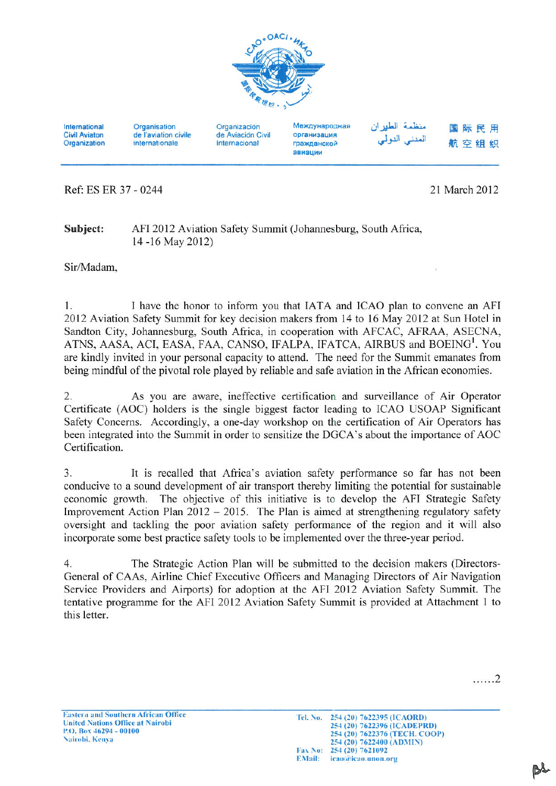

International **Civil Aviaton** Organization

Organisation de l'aviation civile internationale

Organización de Aviación Civil Internacional

Международная организация гражданской авиации

منظمة الطيران 国际民用 المننى النولى 航空组织

Ref: ES ER 37 - 0244

21 March 2012

Subject: AFI 2012 Aviation Safety Summit (Johannesburg, South Africa, 14 -16 May 2012)

Sir/Madam.

I have the honor to inform you that IATA and ICAO plan to convene an AFI  $1.$ 2012 Aviation Safety Summit for key decision makers from 14 to 16 May 2012 at Sun Hotel in Sandton City, Johannesburg, South Africa, in cooperation with AFCAC, AFRAA, ASECNA, ATNS, AASA, ACI, EASA, FAA, CANSO, IFALPA, IFATCA, AIRBUS and BOEING<sup>1</sup>. You are kindly invited in your personal capacity to attend. The need for the Summit emanates from being mindful of the pivotal role played by reliable and safe aviation in the African economies.

As you are aware, ineffective certification and surveillance of Air Operator 2. Certificate (AOC) holders is the single biggest factor leading to ICAO USOAP Significant Safety Concerns. Accordingly, a one-day workshop on the certification of Air Operators has been integrated into the Summit in order to sensitize the DGCA's about the importance of AOC Certification.

 $\overline{3}$ . It is recalled that Africa's aviation safety performance so far has not been conducive to a sound development of air transport thereby limiting the potential for sustainable economic growth. The objective of this initiative is to develop the AFI Strategic Safety Improvement Action Plan  $2012 - 2015$ . The Plan is aimed at strengthening regulatory safety oversight and tackling the poor aviation safety performance of the region and it will also incorporate some best practice safety tools to be implemented over the three-year period.

 $\overline{4}$ . The Strategic Action Plan will be submitted to the decision makers (Directors-General of CAAs, Airline Chief Executive Officers and Managing Directors of Air Navigation Service Providers and Airports) for adoption at the AFI 2012 Aviation Safety Summit. The tentative programme for the AFI 2012 Aviation Safety Summit is provided at Attachment 1 to this letter.

. . . . . . 2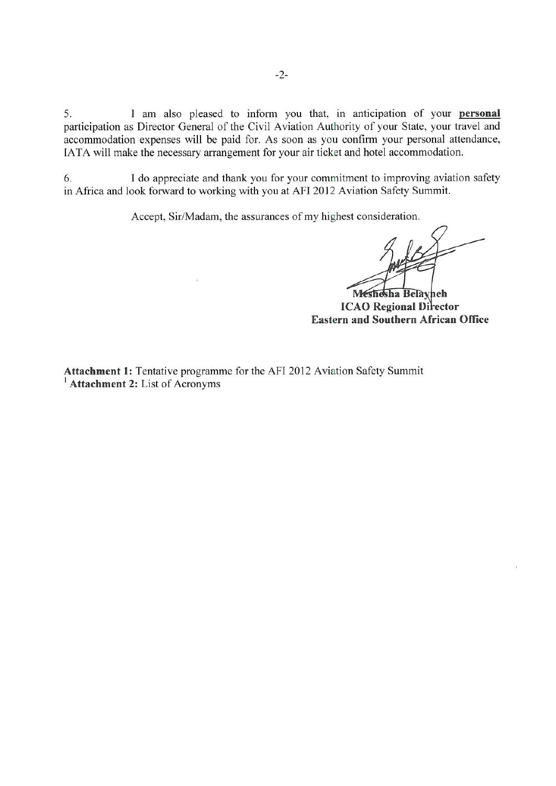I am also pleased to inform you that, in anticipation of your personal 5. participation as Director General of the Civil Aviation Authority of your State, your travel and accommodation expenses will be paid for. As soon as you confirm your personal attendance, IATA will make the necessary arrangement for your air ticket and hotel accommodation.

6. I do appreciate and thank you for your commitment to improving aviation safety in Africa and look forward to working with you at AFI 2012 Aviation Safety Summit.

Accept, Sir/Madam, the assurances of my highest consideration.

Meshesha Belayheh **ICAO** Regional Director **Eastern and Southern African Office** 

Attachment 1: Tentative programme for the AFI 2012 Aviation Safety Summit <sup>1</sup> Attachment 2: List of Acronyms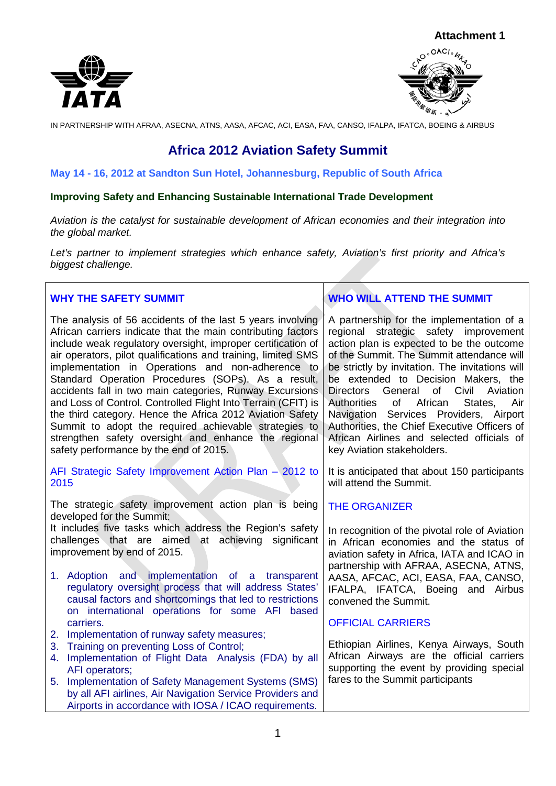



# **Africa 2012 Aviation Safety Summit**

#### **May 14 - 16, 2012 at Sandton Sun Hotel, Johannesburg, Republic of South Africa**

#### **Improving Safety and Enhancing Sustainable International Trade Development**

*Aviation is the catalyst for sustainable development of African economies and their integration into the global market.* 

*Let's partner to implement strategies which enhance safety, Aviation's first priority and Africa's biggest challenge.*

## **WHY THE SAFETY SUMMIT**

The analysis of 56 accidents of the last 5 years involving African carriers indicate that the main contributing factors include weak regulatory oversight, improper certification of air operators, pilot qualifications and training, limited SMS implementation in Operations and non-adherence to Standard Operation Procedures (SOPs). As a result, accidents fall in two main categories, Runway Excursions and Loss of Control. Controlled Flight Into Terrain (CFIT) is the third category. Hence the Africa 2012 Aviation Safety Summit to adopt the required achievable strategies to strengthen safety oversight and enhance the regional safety performance by the end of 2015.

AFI Strategic Safety Improvement Action Plan – 2012 to 2015

The strategic safety improvement action plan is being developed for the Summit:

It includes five tasks which address the Region's safety challenges that are aimed at achieving significant improvement by end of 2015.

- 1. Adoption and implementation of a transparent regulatory oversight process that will address States' causal factors and shortcomings that led to restrictions on international operations for some AFI based carriers.
- 2. Implementation of runway safety measures;
- 3. Training on preventing Loss of Control;
- 4. Implementation of Flight Data Analysis (FDA) by all AFI operators;
- 5. Implementation of Safety Management Systems (SMS) by all AFI airlines, Air Navigation Service Providers and Airports in accordance with IOSA / ICAO requirements.

# **WHO WILL ATTEND THE SUMMIT**

A partnership for the implementation of a regional strategic safety improvement action plan is expected to be the outcome of the Summit. The Summit attendance will be strictly by invitation. The invitations will be extended to Decision Makers, the Directors General of Civil Aviation<br>Authorities of African States, Air **Authorities** Navigation Services Providers, Airport Authorities, the Chief Executive Officers of African Airlines and selected officials of key Aviation stakeholders.

It is anticipated that about 150 participants will attend the Summit.

#### THE ORGANIZER

In recognition of the pivotal role of Aviation in African economies and the status of aviation safety in Africa, IATA and ICAO in partnership with AFRAA, ASECNA, ATNS, AASA, AFCAC, ACI, EASA, FAA, CANSO, IFALPA, IFATCA, Boeing and Airbus convened the Summit.

#### OFFICIAL CARRIERS

Ethiopian Airlines, Kenya Airways, South African Airways are the official carriers supporting the event by providing special fares to the Summit participants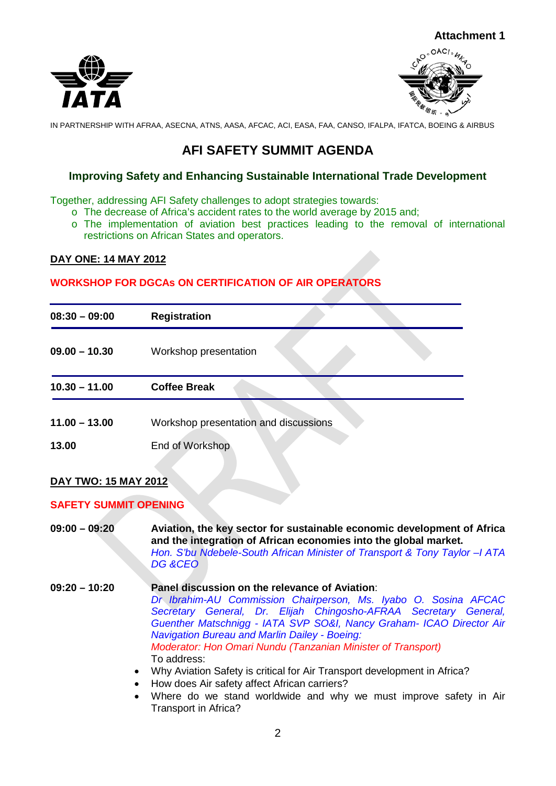



# **AFI SAFETY SUMMIT AGENDA**

# **Improving Safety and Enhancing Sustainable International Trade Development**

Together, addressing AFI Safety challenges to adopt strategies towards:

- o The decrease of Africa's accident rates to the world average by 2015 and;
- o The implementation of aviation best practices leading to the removal of international restrictions on African States and operators.

#### **DAY ONE: 14 MAY 2012**

## **WORKSHOP FOR DGCAs ON CERTIFICATION OF AIR OPERATORS**

| $08:30 - 09:00$ | <b>Registration</b>                   |
|-----------------|---------------------------------------|
| $09.00 - 10.30$ | Workshop presentation                 |
| $10.30 - 11.00$ | <b>Coffee Break</b>                   |
| $11.00 - 13.00$ | Workshop presentation and discussions |
| 13.00           | End of Workshop                       |

# **DAY TWO: 15 MAY 2012**

#### **SAFETY SUMMIT OPENING**

| $09:00 - 09:20$ | Aviation, the key sector for sustainable economic development of Africa<br>and the integration of African economies into the global market.<br>Hon. S'bu Ndebele-South African Minister of Transport & Tony Taylor - ATA<br>DG &CEO                                                                                                                                                                                                                                                                                                                                                                                                                                  |
|-----------------|----------------------------------------------------------------------------------------------------------------------------------------------------------------------------------------------------------------------------------------------------------------------------------------------------------------------------------------------------------------------------------------------------------------------------------------------------------------------------------------------------------------------------------------------------------------------------------------------------------------------------------------------------------------------|
| $09:20 - 10:20$ | Panel discussion on the relevance of Aviation:<br>Dr Ibrahim-AU Commission Chairperson, Ms. Iyabo O. Sosina AFCAC<br>Secretary General, Dr. Elijah Chingosho-AFRAA Secretary General,<br>Guenther Matschnigg - IATA SVP SO&I, Nancy Graham- ICAO Director Air<br><b>Navigation Bureau and Marlin Dailey - Boeing:</b><br>Moderator: Hon Omari Nundu (Tanzanian Minister of Transport)<br>To address:<br>Why Aviation Safety is critical for Air Transport development in Africa?<br>$\bullet$<br>How does Air safety affect African carriers?<br>$\bullet$<br>Where do we stand worldwide and why we must improve safety in Air<br>$\bullet$<br>Transport in Africa? |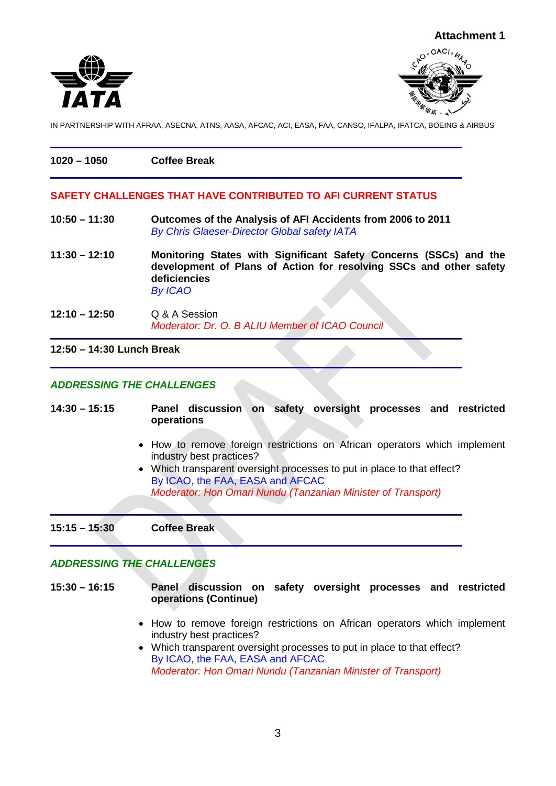

| $1020 - 1050$   | <b>Coffee Break</b>                                           |  |
|-----------------|---------------------------------------------------------------|--|
|                 | SAFETY CHALLENGES THAT HAVE CONTRIBUTED TO AFI CURRENT STATUS |  |
| $10:50 - 11:30$ | Outcomes of the Analysis of AFI Accidents from 2006 to 2011   |  |

- **10:50 – 11:30 Outcomes of the Analysis of AFI Accidents from 2006 to 2011** *By Chris Glaeser-Director Global safety IATA*
- **11:30 – 12:10 Monitoring States with Significant Safety Concerns (SSCs) and the development of Plans of Action for resolving SSCs and other safety deficiencies** *By ICAO*
- **12:10 – 12:50** Q & A Session *Moderator: Dr. O. B ALIU Member of ICAO Council*

**12:50 – 14:30 Lunch Break**

## *ADDRESSING THE CHALLENGES*

**14:30 – 15:15 Panel discussion on safety oversight processes and restricted operations** • How to remove foreign restrictions on African operators which implement industry best practices? • Which transparent oversight processes to put in place to that effect? By ICAO, the FAA, EASA and AFCAC *Moderator: Hon Omari Nundu (Tanzanian Minister of Transport)* **15:15 – 15:30 Coffee Break**

# *ADDRESSING THE CHALLENGES*

- **15:30 – 16:15 Panel discussion on safety oversight processes and restricted operations (Continue)**
	- How to remove foreign restrictions on African operators which implement industry best practices?
	- Which transparent oversight processes to put in place to that effect? By ICAO, the FAA, EASA and AFCAC *Moderator: Hon Omari Nundu (Tanzanian Minister of Transport)*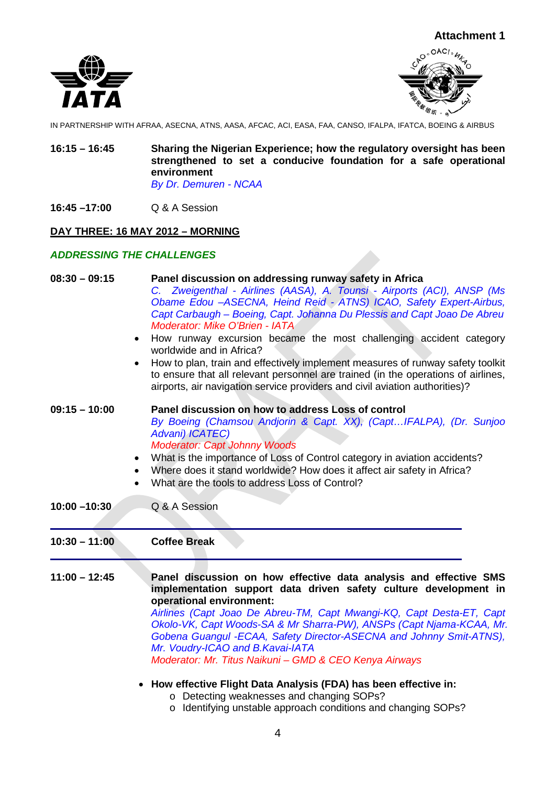



- **16:15 – 16:45 Sharing the Nigerian Experience; how the regulatory oversight has been strengthened to set a conducive foundation for a safe operational environment** *By Dr. Demuren - NCAA*
- **16:45 –17:00** Q & A Session

## **DAY THREE: 16 MAY 2012 – MORNING**

#### *ADDRESSING THE CHALLENGES*

| $08:30 - 09:15$<br>$\bullet$ | Panel discussion on addressing runway safety in Africa<br>C. Zweigenthal - Airlines (AASA), A. Tounsi - Airports (ACI), ANSP (Ms<br>Obame Edou - ASECNA, Heind Reid - ATNS) ICAO, Safety Expert-Airbus,<br>Capt Carbaugh – Boeing, Capt. Johanna Du Plessis and Capt Joao De Abreu<br>Moderator: Mike O'Brien - IATA<br>How runway excursion became the most challenging accident category<br>worldwide and in Africa?<br>How to plan, train and effectively implement measures of runway safety toolkit<br>to ensure that all relevant personnel are trained (in the operations of airlines,<br>airports, air navigation service providers and civil aviation authorities)? |
|------------------------------|------------------------------------------------------------------------------------------------------------------------------------------------------------------------------------------------------------------------------------------------------------------------------------------------------------------------------------------------------------------------------------------------------------------------------------------------------------------------------------------------------------------------------------------------------------------------------------------------------------------------------------------------------------------------------|
| $09:15 - 10:00$<br>$\bullet$ | Panel discussion on how to address Loss of control<br>By Boeing (Chamsou Andjorin & Capt. XX), (CaptIFALPA), (Dr. Sunjoo<br>Advani) ICATEC)<br><b>Moderator: Capt Johnny Woods</b><br>What is the importance of Loss of Control category in aviation accidents?<br>Where does it stand worldwide? How does it affect air safety in Africa?<br>What are the tools to address Loss of Control?                                                                                                                                                                                                                                                                                 |
| $10:00 - 10:30$              | Q & A Session                                                                                                                                                                                                                                                                                                                                                                                                                                                                                                                                                                                                                                                                |
| $10:30 - 11:00$              | <b>Coffee Break</b>                                                                                                                                                                                                                                                                                                                                                                                                                                                                                                                                                                                                                                                          |
| $11:00 - 12:45$              | Panel discussion on how effective data analysis and effective SMS<br>implementation support data driven safety culture development in<br>operational environment:<br>Airlines (Capt Joao De Abreu-TM, Capt Mwangi-KQ, Capt Desta-ET, Capt<br>Okolo-VK, Capt Woods-SA & Mr Sharra-PW), ANSPs (Capt Njama-KCAA, Mr.<br>Gobena Guangul -ECAA, Safety Director-ASECNA and Johnny Smit-ATNS),<br>Mr. Voudry-ICAO and B.Kavai-IATA<br>Moderator: Mr. Titus Naikuni - GMD & CEO Kenya Airways                                                                                                                                                                                       |

# • **How effective Flight Data Analysis (FDA) has been effective in:**

- o Detecting weaknesses and changing SOPs?
- o Identifying unstable approach conditions and changing SOPs?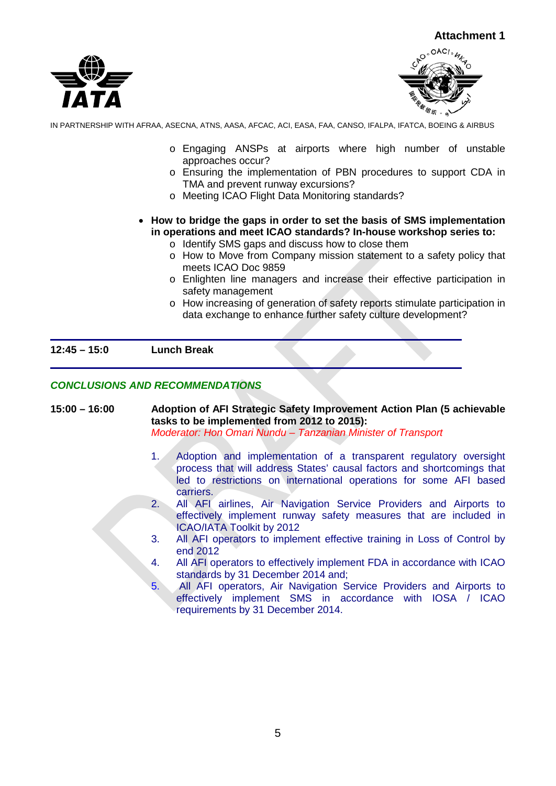



- o Engaging ANSPs at airports where high number of unstable approaches occur?
- o Ensuring the implementation of PBN procedures to support CDA in TMA and prevent runway excursions?
- o Meeting ICAO Flight Data Monitoring standards?
- **How to bridge the gaps in order to set the basis of SMS implementation in operations and meet ICAO standards? In-house workshop series to:**
	- o Identify SMS gaps and discuss how to close them
	- o How to Move from Company mission statement to a safety policy that meets ICAO Doc 9859
	- o Enlighten line managers and increase their effective participation in safety management
	- o How increasing of generation of safety reports stimulate participation in data exchange to enhance further safety culture development?

#### **12:45 – 15:0 Lunch Break**

#### *CONCLUSIONS AND RECOMMENDATIONS*

- **15:00 – 16:00 Adoption of AFI Strategic Safety Improvement Action Plan (5 achievable tasks to be implemented from 2012 to 2015):** *Moderator: Hon Omari Nundu – Tanzanian Minister of Transport*
	- 1. Adoption and implementation of a transparent regulatory oversight process that will address States' causal factors and shortcomings that led to restrictions on international operations for some AFI based carriers.
	- 2. All AFI airlines, Air Navigation Service Providers and Airports to effectively implement runway safety measures that are included in ICAO/IATA Toolkit by 2012
	- 3. All AFI operators to implement effective training in Loss of Control by end 2012
	- 4. All AFI operators to effectively implement FDA in accordance with ICAO standards by 31 December 2014 and;
	- 5. All AFI operators, Air Navigation Service Providers and Airports to effectively implement SMS in accordance with IOSA / ICAO requirements by 31 December 2014.